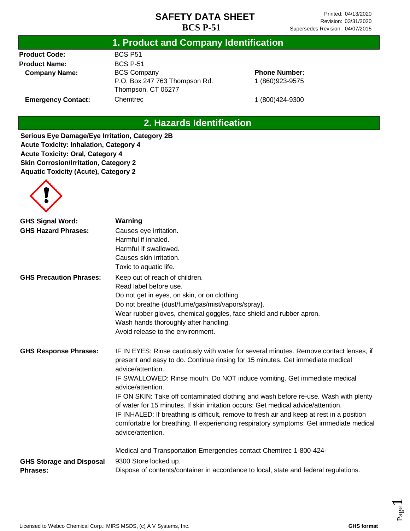#### **1. Product and Company Identification**

**Product Code: Product Name: Company Name:**

**Emergency Contact:**

BCS P51 BCS P-51 BCS Company P.O. Box 247 763 Thompson Rd. Thompson, CT 06277 Chemtrec

**Phone Number:** 1 (860)923-9575

1 (800)424-9300

## **2. Hazards Identification**

**Serious Eye Damage/Eye Irritation, Category 2B Acute Toxicity: Inhalation, Category 4 Acute Toxicity: Oral, Category 4 Skin Corrosion/Irritation, Category 2 Aquatic Toxicity (Acute), Category 2**



| <b>GHS Signal Word:</b>         | Warning                                                                                                                                                                                                                                                                                                                                                                              |
|---------------------------------|--------------------------------------------------------------------------------------------------------------------------------------------------------------------------------------------------------------------------------------------------------------------------------------------------------------------------------------------------------------------------------------|
| <b>GHS Hazard Phrases:</b>      | Causes eye irritation.                                                                                                                                                                                                                                                                                                                                                               |
|                                 | Harmful if inhaled.                                                                                                                                                                                                                                                                                                                                                                  |
|                                 | Harmful if swallowed.                                                                                                                                                                                                                                                                                                                                                                |
|                                 | Causes skin irritation.                                                                                                                                                                                                                                                                                                                                                              |
|                                 | Toxic to aquatic life.                                                                                                                                                                                                                                                                                                                                                               |
| <b>GHS Precaution Phrases:</b>  | Keep out of reach of children.                                                                                                                                                                                                                                                                                                                                                       |
|                                 | Read label before use.                                                                                                                                                                                                                                                                                                                                                               |
|                                 | Do not get in eyes, on skin, or on clothing.                                                                                                                                                                                                                                                                                                                                         |
|                                 | Do not breathe {dust/fume/gas/mist/vapors/spray}.                                                                                                                                                                                                                                                                                                                                    |
|                                 | Wear rubber gloves, chemical goggles, face shield and rubber apron.                                                                                                                                                                                                                                                                                                                  |
|                                 | Wash hands thoroughly after handling.                                                                                                                                                                                                                                                                                                                                                |
|                                 | Avoid release to the environment.                                                                                                                                                                                                                                                                                                                                                    |
| <b>GHS Response Phrases:</b>    | IF IN EYES: Rinse cautiously with water for several minutes. Remove contact lenses, if<br>present and easy to do. Continue rinsing for 15 minutes. Get immediate medical<br>advice/attention.                                                                                                                                                                                        |
|                                 | IF SWALLOWED: Rinse mouth. Do NOT induce vomiting. Get immediate medical<br>advice/attention.                                                                                                                                                                                                                                                                                        |
|                                 | IF ON SKIN: Take off contaminated clothing and wash before re-use. Wash with plenty<br>of water for 15 minutes. If skin irritation occurs: Get medical advice/attention.<br>IF INHALED: If breathing is difficult, remove to fresh air and keep at rest in a position<br>comfortable for breathing. If experiencing respiratory symptoms: Get immediate medical<br>advice/attention. |
| <b>GHS Storage and Disposal</b> | Medical and Transportation Emergencies contact Chemtrec 1-800-424-<br>9300 Store locked up.                                                                                                                                                                                                                                                                                          |
| <b>Phrases:</b>                 | Dispose of contents/container in accordance to local, state and federal regulations.                                                                                                                                                                                                                                                                                                 |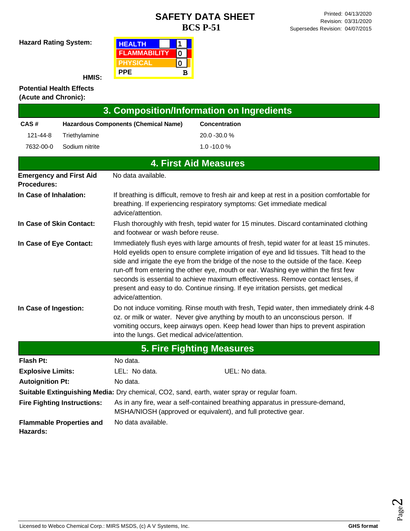**Hazard Rating System:**

| <b>HEALTH</b>       |   |
|---------------------|---|
| <b>FLAMMABILITY</b> |   |
| <b>PHYSICAL</b>     |   |
| <b>PPE</b>          | в |

**HMIS:**

#### **Potential Health Effects (Acute and Chronic):**

| 3. Composition/Information on Ingredients                                                                                                                |                                                                                                                                                                                                                                                                                                                                                                                                                                                                                                                                                                                                |                                                                                                                                                                                                                                                                                                                    |                                                                                            |  |  |
|----------------------------------------------------------------------------------------------------------------------------------------------------------|------------------------------------------------------------------------------------------------------------------------------------------------------------------------------------------------------------------------------------------------------------------------------------------------------------------------------------------------------------------------------------------------------------------------------------------------------------------------------------------------------------------------------------------------------------------------------------------------|--------------------------------------------------------------------------------------------------------------------------------------------------------------------------------------------------------------------------------------------------------------------------------------------------------------------|--------------------------------------------------------------------------------------------|--|--|
| CAS#                                                                                                                                                     |                                                                                                                                                                                                                                                                                                                                                                                                                                                                                                                                                                                                | <b>Hazardous Components (Chemical Name)</b>                                                                                                                                                                                                                                                                        | <b>Concentration</b>                                                                       |  |  |
| 121-44-8                                                                                                                                                 | Triethylamine                                                                                                                                                                                                                                                                                                                                                                                                                                                                                                                                                                                  |                                                                                                                                                                                                                                                                                                                    | 20.0 -30.0 %                                                                               |  |  |
| 7632-00-0                                                                                                                                                | Sodium nitrite                                                                                                                                                                                                                                                                                                                                                                                                                                                                                                                                                                                 |                                                                                                                                                                                                                                                                                                                    | $1.0 - 10.0 %$                                                                             |  |  |
|                                                                                                                                                          |                                                                                                                                                                                                                                                                                                                                                                                                                                                                                                                                                                                                |                                                                                                                                                                                                                                                                                                                    | <b>4. First Aid Measures</b>                                                               |  |  |
| <b>Procedures:</b>                                                                                                                                       | <b>Emergency and First Aid</b>                                                                                                                                                                                                                                                                                                                                                                                                                                                                                                                                                                 | No data available.                                                                                                                                                                                                                                                                                                 |                                                                                            |  |  |
| In Case of Inhalation:                                                                                                                                   |                                                                                                                                                                                                                                                                                                                                                                                                                                                                                                                                                                                                | If breathing is difficult, remove to fresh air and keep at rest in a position comfortable for<br>breathing. If experiencing respiratory symptoms: Get immediate medical<br>advice/attention.                                                                                                                       |                                                                                            |  |  |
| In Case of Skin Contact:<br>Flush thoroughly with fresh, tepid water for 15 minutes. Discard contaminated clothing<br>and footwear or wash before reuse. |                                                                                                                                                                                                                                                                                                                                                                                                                                                                                                                                                                                                |                                                                                                                                                                                                                                                                                                                    |                                                                                            |  |  |
|                                                                                                                                                          | Immediately flush eyes with large amounts of fresh, tepid water for at least 15 minutes.<br>In Case of Eye Contact:<br>Hold eyelids open to ensure complete irrigation of eye and lid tissues. Tilt head to the<br>side and irrigate the eye from the bridge of the nose to the outside of the face. Keep<br>run-off from entering the other eye, mouth or ear. Washing eye within the first few<br>seconds is essential to achieve maximum effectiveness. Remove contact lenses, if<br>present and easy to do. Continue rinsing. If eye irritation persists, get medical<br>advice/attention. |                                                                                                                                                                                                                                                                                                                    |                                                                                            |  |  |
| In Case of Ingestion:                                                                                                                                    |                                                                                                                                                                                                                                                                                                                                                                                                                                                                                                                                                                                                | Do not induce vomiting. Rinse mouth with fresh, Tepid water, then immediately drink 4-8<br>oz. or milk or water. Never give anything by mouth to an unconscious person. If<br>vomiting occurs, keep airways open. Keep head lower than hips to prevent aspiration<br>into the lungs. Get medical advice/attention. |                                                                                            |  |  |
|                                                                                                                                                          |                                                                                                                                                                                                                                                                                                                                                                                                                                                                                                                                                                                                |                                                                                                                                                                                                                                                                                                                    | <b>5. Fire Fighting Measures</b>                                                           |  |  |
| <b>Flash Pt:</b>                                                                                                                                         |                                                                                                                                                                                                                                                                                                                                                                                                                                                                                                                                                                                                | No data.                                                                                                                                                                                                                                                                                                           |                                                                                            |  |  |
| <b>Explosive Limits:</b>                                                                                                                                 |                                                                                                                                                                                                                                                                                                                                                                                                                                                                                                                                                                                                | LEL: No data.                                                                                                                                                                                                                                                                                                      | UEL: No data.                                                                              |  |  |
| <b>Autoignition Pt:</b><br>No data.                                                                                                                      |                                                                                                                                                                                                                                                                                                                                                                                                                                                                                                                                                                                                |                                                                                                                                                                                                                                                                                                                    |                                                                                            |  |  |
|                                                                                                                                                          |                                                                                                                                                                                                                                                                                                                                                                                                                                                                                                                                                                                                |                                                                                                                                                                                                                                                                                                                    | Suitable Extinguishing Media: Dry chemical, CO2, sand, earth, water spray or regular foam. |  |  |
|                                                                                                                                                          | <b>Fire Fighting Instructions:</b>                                                                                                                                                                                                                                                                                                                                                                                                                                                                                                                                                             | As in any fire, wear a self-contained breathing apparatus in pressure-demand,<br>MSHA/NIOSH (approved or equivalent), and full protective gear.                                                                                                                                                                    |                                                                                            |  |  |
| No data available.<br><b>Flammable Properties and</b><br>Hazards:                                                                                        |                                                                                                                                                                                                                                                                                                                                                                                                                                                                                                                                                                                                |                                                                                                                                                                                                                                                                                                                    |                                                                                            |  |  |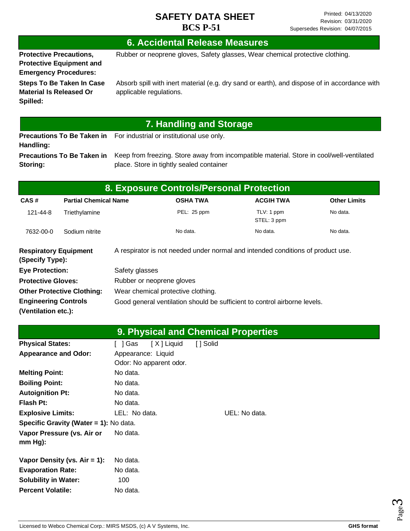#### **6. Accidental Release Measures**

**Protective Precautions, Protective Equipment and Emergency Procedures:**

Rubber or neoprene gloves, Safety glasses, Wear chemical protective clothing.

**Steps To Be Taken In Case Material Is Released Or Spilled:**

Absorb spill with inert material (e.g. dry sand or earth), and dispose of in accordance with applicable regulations.

## **7. Handling and Storage**

**Precautions To Be Taken in**  For industrial or institutional use only. **Handling: Precautions To Be Taken in** 

**Storing:**

Keep from freezing. Store away from incompatible material. Store in cool/well-ventilated place. Store in tightly sealed container

| 8. Exposure Controls/Personal Protection                                |                              |                           |                                                                                 |                           |                     |  |
|-------------------------------------------------------------------------|------------------------------|---------------------------|---------------------------------------------------------------------------------|---------------------------|---------------------|--|
| CAS#                                                                    | <b>Partial Chemical Name</b> |                           | <b>OSHA TWA</b>                                                                 | <b>ACGIH TWA</b>          | <b>Other Limits</b> |  |
| 121-44-8                                                                | Triethylamine                |                           | PEL: 25 ppm                                                                     | TLV: 1 ppm<br>STEL: 3 ppm | No data.            |  |
| 7632-00-0                                                               | Sodium nitrite               |                           | No data.                                                                        | No data.                  | No data.            |  |
| <b>Respiratory Equipment</b><br>(Specify Type):                         |                              |                           | A respirator is not needed under normal and intended conditions of product use. |                           |                     |  |
| <b>Eye Protection:</b>                                                  |                              | Safety glasses            |                                                                                 |                           |                     |  |
| <b>Protective Gloves:</b>                                               |                              | Rubber or neoprene gloves |                                                                                 |                           |                     |  |
| <b>Other Protective Clothing:</b><br>Wear chemical protective clothing. |                              |                           |                                                                                 |                           |                     |  |
| <b>Engineering Controls</b><br>(Ventilation etc.):                      |                              |                           | Good general ventilation should be sufficient to control airborne levels.       |                           |                     |  |

|                                        |                         | <b>9. Physical and Chemical Properties</b> |  |
|----------------------------------------|-------------------------|--------------------------------------------|--|
| <b>Physical States:</b>                | [X] Liquid<br>[ ] Gas   | [ ] Solid                                  |  |
| <b>Appearance and Odor:</b>            | Appearance: Liquid      |                                            |  |
|                                        | Odor: No apparent odor. |                                            |  |
| <b>Melting Point:</b>                  | No data.                |                                            |  |
| <b>Boiling Point:</b>                  | No data.                |                                            |  |
| <b>Autoignition Pt:</b>                | No data.                |                                            |  |
| <b>Flash Pt:</b>                       | No data.                |                                            |  |
| <b>Explosive Limits:</b>               | LEL: No data.           | UEL: No data.                              |  |
| Specific Gravity (Water = 1): No data. |                         |                                            |  |
| Vapor Pressure (vs. Air or             | No data.                |                                            |  |
| $mm Hg$ :                              |                         |                                            |  |
|                                        |                         |                                            |  |
| Vapor Density (vs. $Air = 1$ ):        | No data.                |                                            |  |
| <b>Evaporation Rate:</b>               | No data.                |                                            |  |
| <b>Solubility in Water:</b>            | 100                     |                                            |  |
| <b>Percent Volatile:</b>               | No data.                |                                            |  |

Page ო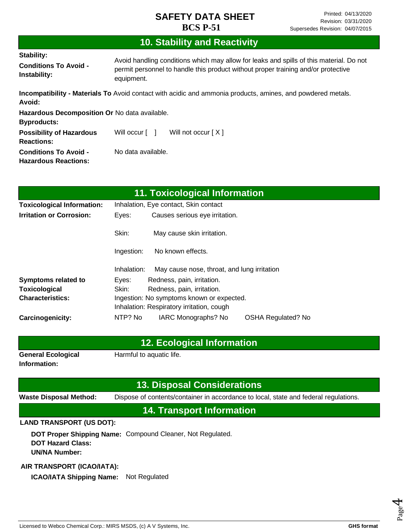# **10. Stability and Reactivity**

| Stability:<br><b>Conditions To Avoid -</b><br>Instability:          | Avoid handling conditions which may allow for leaks and spills of this material. Do not<br>permit personnel to handle this product without proper training and/or protective<br>equipment. |
|---------------------------------------------------------------------|--------------------------------------------------------------------------------------------------------------------------------------------------------------------------------------------|
| Avoid:                                                              | <b>Incompatibility - Materials To</b> Avoid contact with acidic and ammonia products, amines, and powdered metals.                                                                         |
| Hazardous Decomposition Or No data available.<br><b>Byproducts:</b> |                                                                                                                                                                                            |
| <b>Possibility of Hazardous</b><br><b>Reactions:</b>                | Will occur [ ]<br>Will not occur $[X]$                                                                                                                                                     |
| <b>Conditions To Avoid -</b><br><b>Hazardous Reactions:</b>         | No data available.                                                                                                                                                                         |

| 11. Toxicological Information                                        |                                         |                                             |                           |  |
|----------------------------------------------------------------------|-----------------------------------------|---------------------------------------------|---------------------------|--|
| <b>Toxicological Information:</b>                                    | Inhalation, Eye contact, Skin contact   |                                             |                           |  |
| <b>Irritation or Corrosion:</b>                                      | Eyes:<br>Causes serious eye irritation. |                                             |                           |  |
|                                                                      | Skin:                                   | May cause skin irritation.                  |                           |  |
|                                                                      | Ingestion:                              | No known effects.                           |                           |  |
|                                                                      | Inhalation:                             | May cause nose, throat, and lung irritation |                           |  |
| <b>Symptoms related to</b>                                           | Eyes:                                   | Redness, pain, irritation.                  |                           |  |
| Toxicological                                                        | Skin:<br>Redness, pain, irritation.     |                                             |                           |  |
| <b>Characteristics:</b><br>Ingestion: No symptoms known or expected. |                                         |                                             |                           |  |
|                                                                      |                                         | Inhalation: Respiratory irritation, cough   |                           |  |
| <b>Carcinogenicity:</b>                                              | NTP? No                                 | IARC Monographs? No                         | <b>OSHA Regulated? No</b> |  |

#### **12. Ecological Information**

**General Ecological Information:**

Harmful to aquatic life.

#### **13. Disposal Considerations**

**Waste Disposal Method:** Dispose of contents/container in accordance to local, state and federal regulations.

**14. Transport Information**

#### **LAND TRANSPORT (US DOT):**

**DOT Proper Shipping Name:**  Compound Cleaner, Not Regulated. **DOT Hazard Class: UN/NA Number:**

#### **AIR TRANSPORT (ICAO/IATA):**

**ICAO/IATA Shipping Name:** Not Regulated

Page 4